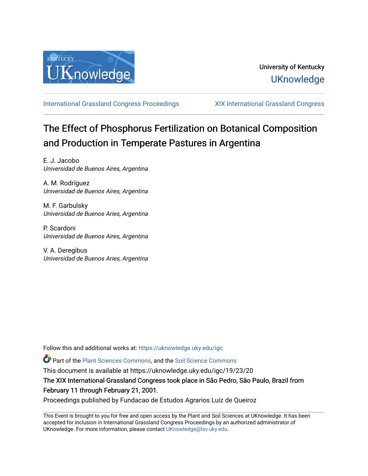

[International Grassland Congress Proceedings](https://uknowledge.uky.edu/igc) [XIX International Grassland Congress](https://uknowledge.uky.edu/igc/19) 

# The Effect of Phosphorus Fertilization on Botanical Composition and Production in Temperate Pastures in Argentina

E. J. Jacobo Universidad de Buenos Aires, Argentina

A. M. Rodríguez Universidad de Buenos Aires, Argentina

M. F. Garbulsky Universidad de Buenos Aries, Argentina

P. Scardoni Universidad de Buenos Aires, Argentina

V. A. Deregibus Universidad de Buenos Aries, Argentina

Follow this and additional works at: [https://uknowledge.uky.edu/igc](https://uknowledge.uky.edu/igc?utm_source=uknowledge.uky.edu%2Figc%2F19%2F23%2F20&utm_medium=PDF&utm_campaign=PDFCoverPages) 

Part of the [Plant Sciences Commons](http://network.bepress.com/hgg/discipline/102?utm_source=uknowledge.uky.edu%2Figc%2F19%2F23%2F20&utm_medium=PDF&utm_campaign=PDFCoverPages), and the [Soil Science Commons](http://network.bepress.com/hgg/discipline/163?utm_source=uknowledge.uky.edu%2Figc%2F19%2F23%2F20&utm_medium=PDF&utm_campaign=PDFCoverPages) 

This document is available at https://uknowledge.uky.edu/igc/19/23/20

The XIX International Grassland Congress took place in São Pedro, São Paulo, Brazil from February 11 through February 21, 2001.

Proceedings published by Fundacao de Estudos Agrarios Luiz de Queiroz

This Event is brought to you for free and open access by the Plant and Soil Sciences at UKnowledge. It has been accepted for inclusion in International Grassland Congress Proceedings by an authorized administrator of UKnowledge. For more information, please contact [UKnowledge@lsv.uky.edu](mailto:UKnowledge@lsv.uky.edu).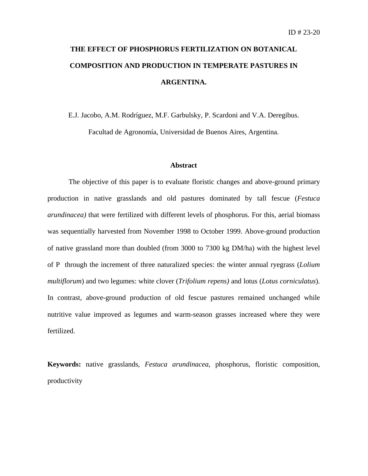# **THE EFFECT OF PHOSPHORUS FERTILIZATION ON BOTANICAL COMPOSITION AND PRODUCTION IN TEMPERATE PASTURES IN ARGENTINA.**

E.J. Jacobo, A.M. Rodríguez, M.F. Garbulsky, P. Scardoni and V.A. Deregibus. Facultad de Agronomía, Universidad de Buenos Aires, Argentina.

## **Abstract**

The objective of this paper is to evaluate floristic changes and above-ground primary production in native grasslands and old pastures dominated by tall fescue (*Festuca arundinacea)* that were fertilized with different levels of phosphorus. For this, aerial biomass was sequentially harvested from November 1998 to October 1999. Above-ground production of native grassland more than doubled (from 3000 to 7300 kg DM/ha) with the highest level of P through the increment of three naturalized species: the winter annual ryegrass (*Lolium multiflorum*) and two legumes: white clover (*Trifolium repens)* and lotus (*Lotus corniculatus*). In contrast, above-ground production of old fescue pastures remained unchanged while nutritive value improved as legumes and warm-season grasses increased where they were fertilized.

**Keywords:** native grasslands, *Festuca arundinacea*, phosphorus, floristic composition, productivity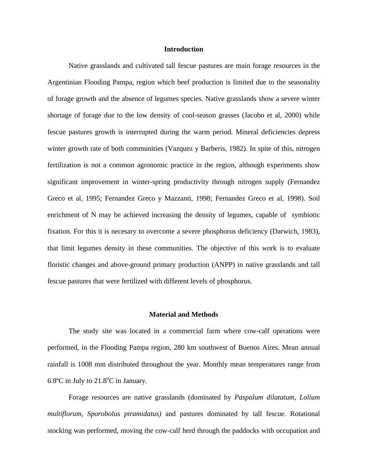# **Introduction**

Native grasslands and cultivated tall fescue pastures are main forage resources in the Argentinian Flooding Pampa, region which beef production is limited due to the seasonality of forage growth and the absence of legumes species. Native grasslands show a severe winter shortage of forage due to the low density of cool-season grasses (Jacobo et al, 2000) while fescue pastures growth is interrupted during the warm period. Mineral deficiencies depress winter growth rate of both communities (Vazquez y Barberis, 1982). In spite of this, nitrogen fertilization is not a common agronomic practice in the region, although experiments show significant improvement in winter-spring productivity through nitrogen supply (Fernandez Greco et al, 1995; Fernandez Greco y Mazzanti, 1998; Fernandez Greco et al, 1998). Soil enrichment of N may be achieved increasing the density of legumes, capable of symbiotic fixation. For this it is necesary to overcome a severe phosphorus deficiency (Darwich, 1983), that limit legumes density in these communities. The objective of this work is to evaluate floristic changes and above-ground primary production (ANPP) in native grasslands and tall fescue pastures that were fertilized with different levels of phosphorus.

#### **Material and Methods**

The study site was located in a commercial farm where cow-calf operations were performed, in the Flooding Pampa region, 280 km southwest of Buenos Aires. Mean annual rainfall is 1008 mm distributed throughout the year. Monthly mean temperatures range from 6.8 $\degree$ C in July to 21.8 $\degree$ C in January.

Forage resources are native grasslands (dominated by *Paspalum dilatatum, Lolium multiflorum, Sporobolus piramidatus)* and pastures dominated by tall fescue. Rotational stocking was performed, moving the cow-calf herd through the paddocks with occupation and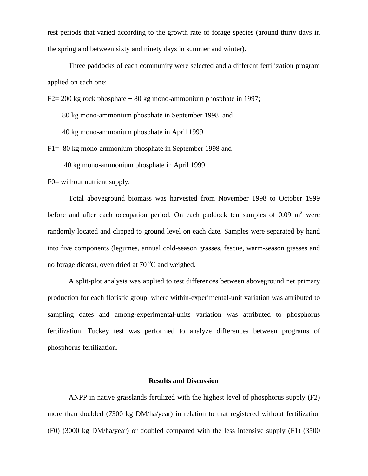rest periods that varied according to the growth rate of forage species (around thirty days in the spring and between sixty and ninety days in summer and winter).

Three paddocks of each community were selected and a different fertilization program applied on each one:

 $F2 = 200$  kg rock phosphate  $+ 80$  kg mono-ammonium phosphate in 1997;

80 kg mono-ammonium phosphate in September 1998 and

40 kg mono-ammonium phosphate in April 1999.

F1= 80 kg mono-ammonium phosphate in September 1998 and

40 kg mono-ammonium phosphate in April 1999.

F0= without nutrient supply.

Total aboveground biomass was harvested from November 1998 to October 1999 before and after each occupation period. On each paddock ten samples of 0.09  $m<sup>2</sup>$  were randomly located and clipped to ground level on each date. Samples were separated by hand into five components (legumes, annual cold-season grasses, fescue, warm-season grasses and no forage dicots), oven dried at  $70^{\circ}$ C and weighed.

A split-plot analysis was applied to test differences between aboveground net primary production for each floristic group, where within-experimental-unit variation was attributed to sampling dates and among-experimental-units variation was attributed to phosphorus fertilization. Tuckey test was performed to analyze differences between programs of phosphorus fertilization.

#### **Results and Discussion**

ANPP in native grasslands fertilized with the highest level of phosphorus supply (F2) more than doubled (7300 kg DM/ha/year) in relation to that registered without fertilization (F0) (3000 kg DM/ha/year) or doubled compared with the less intensive supply (F1) (3500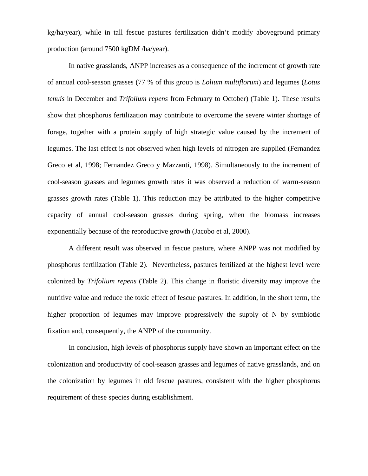kg/ha/year), while in tall fescue pastures fertilization didn't modify aboveground primary production (around 7500 kgDM /ha/year).

In native grasslands, ANPP increases as a consequence of the increment of growth rate of annual cool-season grasses (77 % of this group is *Lolium multiflorum*) and legumes (*Lotus tenuis* in December and *Trifolium repens* from February to October) (Table 1). These results show that phosphorus fertilization may contribute to overcome the severe winter shortage of forage, together with a protein supply of high strategic value caused by the increment of legumes. The last effect is not observed when high levels of nitrogen are supplied (Fernandez Greco et al, 1998; Fernandez Greco y Mazzanti, 1998). Simultaneously to the increment of cool-season grasses and legumes growth rates it was observed a reduction of warm-season grasses growth rates (Table 1). This reduction may be attributed to the higher competitive capacity of annual cool-season grasses during spring, when the biomass increases exponentially because of the reproductive growth (Jacobo et al, 2000).

A different result was observed in fescue pasture, where ANPP was not modified by phosphorus fertilization (Table 2). Nevertheless, pastures fertilized at the highest level were colonized by *Trifolium repens* (Table 2). This change in floristic diversity may improve the nutritive value and reduce the toxic effect of fescue pastures. In addition, in the short term, the higher proportion of legumes may improve progressively the supply of N by symbiotic fixation and, consequently, the ANPP of the community.

In conclusion, high levels of phosphorus supply have shown an important effect on the colonization and productivity of cool-season grasses and legumes of native grasslands, and on the colonization by legumes in old fescue pastures, consistent with the higher phosphorus requirement of these species during establishment.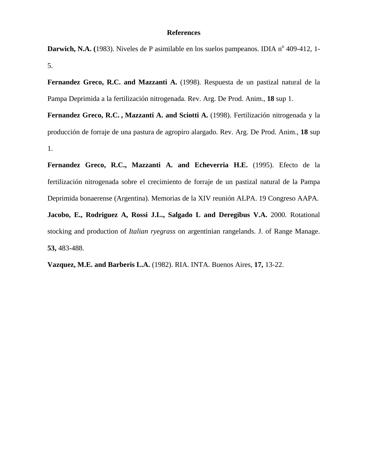## **References**

Darwich, N.A. (1983). Niveles de P asimilable en los suelos pampeanos. IDIA n<sup>º</sup> 409-412, 1-5.

Fernandez Greco, R.C. and Mazzanti A. (1998). Respuesta de un pastizal natural de la Pampa Deprimida a la fertilización nitrogenada. Rev. Arg. De Prod. Anim., **18** sup 1.

**Fernandez Greco, R.C. , Mazzanti A. and Sciotti A.** (1998). Fertilización nitrogenada y la producción de forraje de una pastura de agropiro alargado. Rev. Arg. De Prod. Anim., **18** sup 1.

Fernandez Greco, R.C., Mazzanti A. and Echeverria H.E. (1995). Efecto de la fertilización nitrogenada sobre el crecimiento de forraje de un pastizal natural de la Pampa Deprimida bonaerense (Argentina). Memorias de la XIV reunión ALPA. 19 Congreso AAPA.

**Jacobo, E., Rodriguez A, Rossi J.L., Salgado L and Deregibus V.A.** 2000. Rotational stocking and production of *Italian ryegrass* on argentinian rangelands. J. of Range Manage. **53,** 483-488.

**Vazquez, M.E. and Barberis L.A.** (1982). RIA. INTA. Buenos Aires, **17,** 13-22.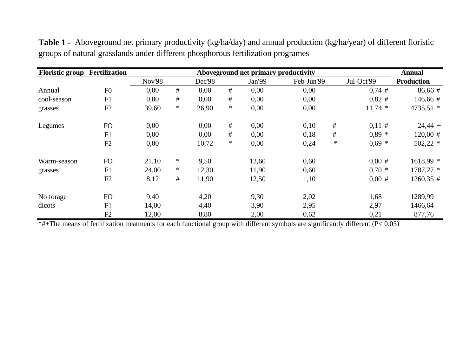| <b>Floristic group</b> | <b>Fertilization</b> |        | <b>Annual</b> |        |        |        |            |        |            |                   |
|------------------------|----------------------|--------|---------------|--------|--------|--------|------------|--------|------------|-------------------|
|                        |                      | Nov'98 |               | Dec'98 |        | Jan'99 | Feb-Jun'99 |        | Jul-Oct'99 | <b>Production</b> |
| Annual                 | F <sub>0</sub>       | 0,00   | #             | 0,00   | #      | 0,00   | 0,00       |        | $0,74$ #   | 86,66 #           |
| cool-season            | F1                   | 0,00   | #             | 0,00   | #      | 0,00   | 0,00       |        | $0,82$ #   | $146,66 \#$       |
| grasses                | F2                   | 39,60  | $\ast$        | 26,90  | $\ast$ | 0,00   | 0,00       |        | $11,74$ *  | 4735,51 *         |
| Legumes                | FO                   | 0,00   |               | 0,00   | #      | 0,00   | 0,10       | #      | 0,11#      | $24,44 +$         |
|                        | F1                   | 0,00   |               | 0,00   | $\#$   | 0,00   | 0,18       | #      | $0,89$ *   | $120,00 \#$       |
|                        | F2                   | 0,00   |               | 10,72  | $\ast$ | 0,00   | 0,24       | $\ast$ | $0,69 *$   | $502,22$ *        |
| Warm-season            | FO                   | 21,10  | $\ast$        | 9,50   |        | 12,60  | 0,60       |        | 0.00#      | $1618,99$ *       |
| grasses                | F1                   | 24,00  | ∗             | 12,30  |        | 11,90  | 0,60       |        | $0.70*$    | 1787,27 *         |
|                        | F2                   | 8,12   | #             | 11,90  |        | 12,50  | 1,10       |        | $0,00$ #   | $1260,35$ #       |
| No forage              | FO                   | 9,40   |               | 4,20   |        | 9,30   | 2,02       |        | 1,68       | 1289,99           |
| dicots                 | F1                   | 14,00  |               | 4,40   |        | 3,90   | 2,95       |        | 2,97       | 1466,64           |
|                        | F2                   | 12,00  |               | 8,80   |        | 2,00   | 0,62       |        | 0,21       | 877,76            |

**Table 1 -** Aboveground net primary productivity (kg/ha/day) and annual production (kg/ha/year) of different floristic groups of natural grasslands under different phosphorous fertilization programes

\*#+The means of fertilization treatments for each functional group with different symbols are significantly different (P< 0.05)